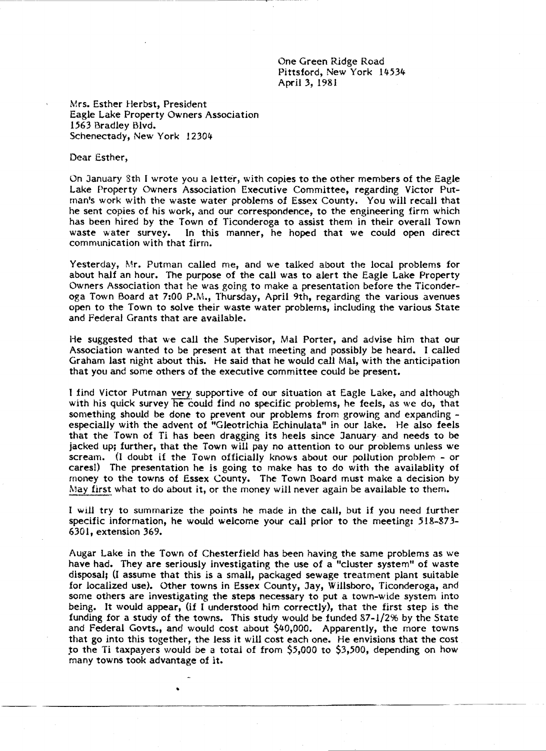One Green Ridge Road Pittsford, New York 14534 April 3, 1981

Mrs. Esther Herbst, President Eagle Lake Property Owners Association 1563 Bradley Blvd. Schenectady, New York 12304

Dear Esther,

On January 8th I wrote you a letter, with copies to the other members of the Eagle Lake Property Owners Association Executive Committee, regarding Victor Putman's work with the waste water problems of Essex County. You will recall that he sent copies of his work, and our correspondence, to the engineering firm which has been hired by the Town of Ticonderoga to assist them in their overall Town waste water survey. In this manner, he hoped that we could open direct communication with that firm.

Yesterday, Mr. Putman called me, and we talked about the local problems for about half an hour. The purpose of the call was to alert the Eagle Lake Property Owners Association that he was going to make a presentation before the Ticonderoga Town Board at 7:00 P.M., Thursday, April 9th, regarding the various avenues open to the Town to solve their waste water problems, including the various State and Federal Grants that are available.

He suggested that we call the Supervisor, Mal Porter, and advise him that our Association wanted to be present at that meeting and possibly be heard. I called Graham last night about this. He said that he would call Mal, with the anticipation that you and some others of the executive committee could be present.

I find Victor Putman very supportive of our situation at Eagle Lake, and although with his quick survey he could find no specific problems, he feels, as we do, that something should be done to prevent our problems from growing and expanding especially with the advent of "Gleotrichia Echinulata" in our lake. He also feels that the Town of Ti has been dragging its heels since January and needs to be jacked up; further, that the Town will pay no attention to our problems unless we scream. (I doubt if the Town officially knows about our pollution problem - or cares!) The presentation he is going to make has to do with the availablity of money to the towns of Essex County. The Town Board must make a decision by May first what to do about it, or the money will never again be available to them.

I wiU try to summarize the points he made in the call, but if you need further specific information, he would welcome your call prior to the meeting: 518-873- 6301, extension 369.

Augar Lake in the Town of Chesterfield has been having the same problems as we have had. They are seriously investigating the use of a "cluster system" of waste disposal; (I assume that this is a small, packaged sewage treatment plant suitable for localized use). Other towns in Essex County, Jay, Willsboro, Ticonderoga, and some others are investigating the steps necessary to put a town-wide system into being. It would appear, (if I understood him correctly), that the first step is the funding for a study of the towns. This study would be funded 87-1/2% by the State and Federal Govts., and would cost about \$40,000. Apparently, the more towns that go into this together, the less it will cost each one. He envisions that the cost to the Ti taxpayers would be a total of from  $$5,000$  to  $$3,500$ , depending on how many towns took advantage of it.

•